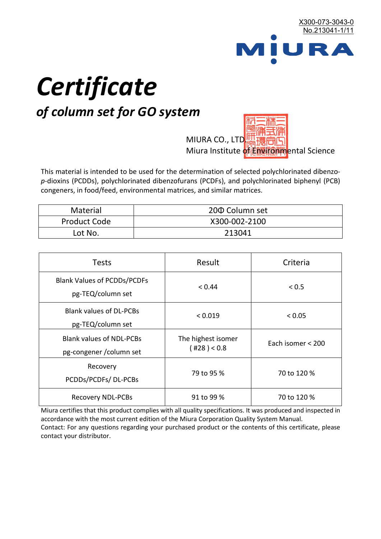

# *Certificate*

## *of column set for GO system*

MIURA CO., LTD. Miura Institute of 正版而解ental Science

This material is intended to be used for the determination of selected polychlorinated dibenzo*p*-dioxins (PCDDs), polychlorinated dibenzofurans (PCDFs), and polychlorinated biphenyl (PCB) congeners, in food/feed, environmental matrices, and similar matrices.

| <b>Material</b>     | 200 Column set |  |
|---------------------|----------------|--|
| <b>Product Code</b> | X300-002-2100  |  |
| Lot No.             | 213041         |  |

| <b>Tests</b>                                                | Result                            | Criteria          |
|-------------------------------------------------------------|-----------------------------------|-------------------|
| <b>Blank Values of PCDDs/PCDFs</b><br>pg-TEQ/column set     | < 0.44                            | < 0.5             |
| <b>Blank values of DL-PCBs</b><br>pg-TEQ/column set         | < 0.019                           | < 0.05            |
| <b>Blank values of NDL-PCBs</b><br>pg-congener / column set | The highest isomer<br>(428) < 0.8 | Each isomer < 200 |
| Recovery<br>PCDDs/PCDFs/DL-PCBs                             | 79 to 95 %                        | 70 to 120 %       |
| <b>Recovery NDL-PCBs</b>                                    | 91 to 99 %                        | 70 to 120 %       |

Miura certifies that this product complies with all quality specifications. It was produced and inspected in accordance with the most current edition of the Miura Corporation Quality System Manual. Contact: For any questions regarding your purchased product or the contents of this certificate, please contact your distributor.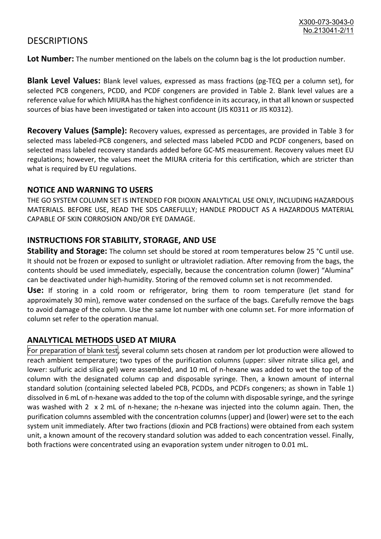### **DESCRIPTIONS**

**Lot Number:** The number mentioned on the labels on the column bag is the lot production number.

**Blank Level Values:** Blank level values, expressed as mass fractions (pg-TEQ per a column set), for selected PCB congeners, PCDD, and PCDF congeners are provided in Table 2. Blank level values are a reference value for which MIURA has the highest confidence in its accuracy, in that all known or suspected sources of bias have been investigated or taken into account (JIS K0311 or JIS K0312).

**Recovery Values (Sample):** Recovery values, expressed as percentages, are provided in Table 3 for selected mass labeled-PCB congeners, and selected mass labeled PCDD and PCDF congeners, based on selected mass labeled recovery standards added before GC-MS measurement. Recovery values meet EU regulations; however, the values meet the MIURA criteria for this certification, which are stricter than what is required by EU regulations.

#### **NOTICE AND WARNING TO USERS**

THE GO SYSTEM COLUMN SET IS INTENDED FOR DIOXIN ANALYTICAL USE ONLY, INCLUDING HAZARDOUS MATERIALS. BEFORE USE, READ THE SDS CAREFULLY; HANDLE PRODUCT AS A HAZARDOUS MATERIAL CAPABLE OF SKIN CORROSION AND/OR EYE DAMAGE.

#### **INSTRUCTIONS FOR STABILITY, STORAGE, AND USE**

**Stability and Storage:** The column set should be stored at room temperatures below 25 °C until use. It should not be frozen or exposed to sunlight or ultraviolet radiation. After removing from the bags, the contents should be used immediately, especially, because the concentration column (lower) "Alumina" can be deactivated under high-humidity. Storing of the removed column set is not recommended.

**Use:** If storing in a cold room or refrigerator, bring them to room temperature (let stand for approximately 30 min), remove water condensed on the surface of the bags. Carefully remove the bags to avoid damage of the column. Use the same lot number with one column set. For more information of column set refer to the operation manual.

#### **ANALYTICAL METHODS USED AT MIURA**

For preparation of blank test, several column sets chosen at random per lot production were allowed to reach ambient temperature; two types of the purification columns (upper: silver nitrate silica gel, and lower: sulfuric acid silica gel) were assembled, and 10 mL of n-hexane was added to wet the top of the column with the designated column cap and disposable syringe. Then, a known amount of internal standard solution (containing selected labeled PCB, PCDDs, and PCDFs congeners; as shown in Table 1) dissolved in 6 mL of n-hexane was added to the top of the column with disposable syringe, and the syringe was washed with 2 x 2 mL of n-hexane; the n-hexane was injected into the column again. Then, the purification columns assembled with the concentration columns (upper) and (lower) were set to the each system unit immediately. After two fractions (dioxin and PCB fractions) were obtained from each system unit, a known amount of the recovery standard solution was added to each concentration vessel. Finally, both fractions were concentrated using an evaporation system under nitrogen to 0.01 mL.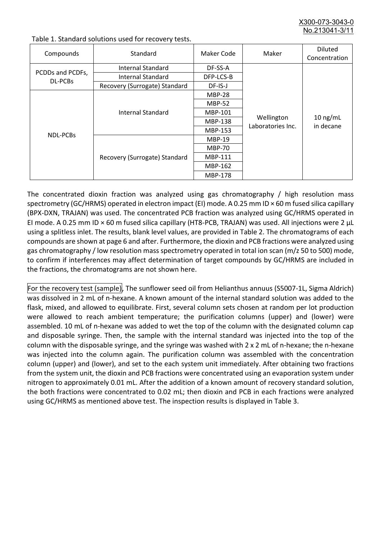X300-073-3043-0 No. 213041-3/

| Compounds                          | Standard                      | Maker Code     | Maker                           | <b>Diluted</b><br>Concentration |
|------------------------------------|-------------------------------|----------------|---------------------------------|---------------------------------|
| PCDDs and PCDFs,<br><b>DL-PCBs</b> | Internal Standard             | DF-SS-A        |                                 |                                 |
|                                    | <b>Internal Standard</b>      | DFP-LCS-B      |                                 |                                 |
|                                    | Recovery (Surrogate) Standard | DF-IS-J        | Wellington<br>Laboratories Inc. | $10$ ng/mL<br>in decane         |
| <b>NDL-PCBs</b>                    | Internal Standard             | <b>MBP-28</b>  |                                 |                                 |
|                                    |                               | <b>MBP-52</b>  |                                 |                                 |
|                                    |                               | MBP-101        |                                 |                                 |
|                                    |                               | <b>MBP-138</b> |                                 |                                 |
|                                    |                               | MBP-153        |                                 |                                 |
|                                    | Recovery (Surrogate) Standard | <b>MBP-19</b>  |                                 |                                 |
|                                    |                               | <b>MBP-70</b>  |                                 |                                 |
|                                    |                               | <b>MBP-111</b> |                                 |                                 |
|                                    |                               | MBP-162        |                                 |                                 |
|                                    |                               | <b>MBP-178</b> |                                 |                                 |

Table 1. Standard solutions used for recovery tests.

The concentrated dioxin fraction was analyzed using gas chromatography / high resolution mass spectrometry (GC/HRMS) operated in electron impact (EI) mode. A 0.25 mm ID × 60 m fused silica capillary (BPX-DXN, TRAJAN) was used. The concentrated PCB fraction was analyzed using GC/HRMS operated in EI mode. A 0.25 mm ID × 60 m fused silica capillary (HT8-PCB, TRAJAN) was used. All injections were 2 μL using a splitless inlet. The results, blank level values, are provided in Table 2. The chromatograms of each compounds are shown at page 6 and after. Furthermore, the dioxin and PCB fractions were analyzed using gas chromatography / low resolution mass spectrometry operated in total ion scan (m/z 50 to 500) mode, to confirm if interferences may affect determination of target compounds by GC/HRMS are included in the fractions, the chromatograms are not shown here.

For the recovery test (sample), The sunflower seed oil from Helianthus annuus (S5007-1L, Sigma Aldrich) was dissolved in 2 mL of n-hexane. A known amount of the internal standard solution was added to the flask, mixed, and allowed to equilibrate. First, several column sets chosen at random per lot production were allowed to reach ambient temperature; the purification columns (upper) and (lower) were assembled. 10 mL of n-hexane was added to wet the top of the column with the designated column cap and disposable syringe. Then, the sample with the internal standard was injected into the top of the column with the disposable syringe, and the syringe was washed with 2 x 2 mL of n-hexane; the n-hexane was injected into the column again. The purification column was assembled with the concentration column (upper) and (lower), and set to the each system unit immediately. After obtaining two fractions from the system unit, the dioxin and PCB fractions were concentrated using an evaporation system under nitrogen to approximately 0.01 mL. After the addition of a known amount of recovery standard solution, the both fractions were concentrated to 0.02 mL; then dioxin and PCB in each fractions were analyzed using GC/HRMS as mentioned above test. The inspection results is displayed in Table 3.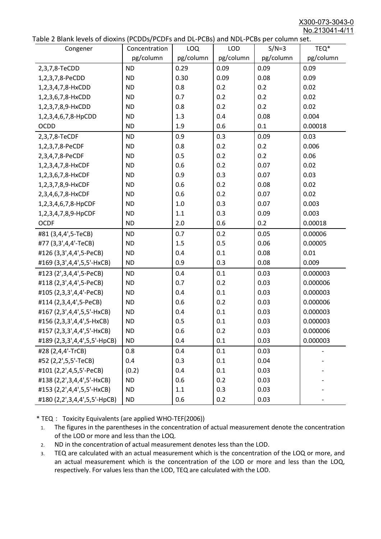X300-073-3043-0 No.213041-4/11

|  | Table 2 Blank levels of dioxins (PCDDs/PCDFs and DL-PCBs) and NDL-PCBs per column set. |
|--|----------------------------------------------------------------------------------------|
|--|----------------------------------------------------------------------------------------|

| able 2 Dialin levels of dioxins (I CDDs) FCDTs and DET CDs) and NDET CDs per column sett.<br>Congener | Concentration | LOQ       | <b>LOD</b> | $S/N=3$   | TEQ*      |
|-------------------------------------------------------------------------------------------------------|---------------|-----------|------------|-----------|-----------|
|                                                                                                       | pg/column     | pg/column | pg/column  | pg/column | pg/column |
| 2,3,7,8-TeCDD                                                                                         | <b>ND</b>     | 0.29      | 0.09       | 0.09      | 0.09      |
| 1,2,3,7,8-PeCDD                                                                                       | <b>ND</b>     | 0.30      | 0.09       | 0.08      | 0.09      |
| 1,2,3,4,7,8-HxCDD                                                                                     | <b>ND</b>     | 0.8       | 0.2        | 0.2       | 0.02      |
| 1,2,3,6,7,8-HxCDD                                                                                     | <b>ND</b>     | 0.7       | 0.2        | 0.2       | 0.02      |
| 1,2,3,7,8,9-HxCDD                                                                                     | <b>ND</b>     | 0.8       | 0.2        | 0.2       | 0.02      |
| 1,2,3,4,6,7,8-HpCDD                                                                                   | <b>ND</b>     | 1.3       | 0.4        | 0.08      | 0.004     |
| <b>OCDD</b>                                                                                           | <b>ND</b>     | 1.9       | 0.6        | 0.1       | 0.00018   |
| 2,3,7,8-TeCDF                                                                                         | <b>ND</b>     | 0.9       | 0.3        | 0.09      | 0.03      |
| 1,2,3,7,8-PeCDF                                                                                       | <b>ND</b>     | 0.8       | 0.2        | 0.2       | 0.006     |
| 2,3,4,7,8-PeCDF                                                                                       | <b>ND</b>     | 0.5       | 0.2        | 0.2       | 0.06      |
| 1,2,3,4,7,8-HxCDF                                                                                     | <b>ND</b>     | 0.6       | 0.2        | 0.07      | 0.02      |
| 1,2,3,6,7,8-HxCDF                                                                                     | <b>ND</b>     | 0.9       | 0.3        | 0.07      | 0.03      |
| 1,2,3,7,8,9-HxCDF                                                                                     | <b>ND</b>     | 0.6       | 0.2        | 0.08      | 0.02      |
| 2,3,4,6,7,8-HxCDF                                                                                     | <b>ND</b>     | 0.6       | 0.2        | 0.07      | 0.02      |
| 1,2,3,4,6,7,8-HpCDF                                                                                   | <b>ND</b>     | 1.0       | 0.3        | 0.07      | 0.003     |
| 1,2,3,4,7,8,9-HpCDF                                                                                   | <b>ND</b>     | 1.1       | 0.3        | 0.09      | 0.003     |
| <b>OCDF</b>                                                                                           | <b>ND</b>     | 2.0       | 0.6        | 0.2       | 0.00018   |
| #81 (3,4,4',5-TeCB)                                                                                   | <b>ND</b>     | 0.7       | 0.2        | 0.05      | 0.00006   |
| #77 (3,3',4,4'-TeCB)                                                                                  | <b>ND</b>     | 1.5       | 0.5        | 0.06      | 0.00005   |
| #126 (3,3',4,4',5-PeCB)                                                                               | <b>ND</b>     | 0.4       | 0.1        | 0.08      | 0.01      |
| #169 (3,3',4,4',5,5'-HxCB)                                                                            | <b>ND</b>     | 0.9       | 0.3        | 0.08      | 0.009     |
| #123 (2',3,4,4',5-PeCB)                                                                               | <b>ND</b>     | 0.4       | 0.1        | 0.03      | 0.000003  |
| #118 (2,3',4,4',5-PeCB)                                                                               | <b>ND</b>     | 0.7       | 0.2        | 0.03      | 0.000006  |
| #105 (2,3,3',4,4'-PeCB)                                                                               | <b>ND</b>     | 0.4       | 0.1        | 0.03      | 0.000003  |
| #114 (2,3,4,4',5-PeCB)                                                                                | <b>ND</b>     | 0.6       | 0.2        | 0.03      | 0.000006  |
| #167 (2,3',4,4',5,5'-HxCB)                                                                            | <b>ND</b>     | 0.4       | 0.1        | 0.03      | 0.000003  |
| #156 (2,3,3',4,4',5-HxCB)                                                                             | <b>ND</b>     | 0.5       | 0.1        | 0.03      | 0.000003  |
| #157 (2,3,3',4,4',5'-HxCB)                                                                            | <b>ND</b>     | 0.6       | 0.2        | 0.03      | 0.000006  |
| #189 (2,3,3',4,4',5,5'-HpCB)                                                                          | <b>ND</b>     | 0.4       | 0.1        | 0.03      | 0.000003  |
| #28 (2,4,4'-TrCB)                                                                                     | 0.8           | 0.4       | 0.1        | 0.03      |           |
| #52 (2,2',5,5'-TeCB)                                                                                  | 0.4           | 0.3       | 0.1        | 0.04      |           |
| #101 (2,2',4,5,5'-PeCB)                                                                               | (0.2)         | 0.4       | 0.1        | 0.03      |           |
| #138 (2,2',3,4,4',5'-HxCB)                                                                            | <b>ND</b>     | 0.6       | 0.2        | 0.03      |           |
| #153 (2,2',4,4',5,5'-HxCB)                                                                            | <b>ND</b>     | 1.1       | 0.3        | 0.03      |           |
| #180 (2,2',3,4,4',5,5'-HpCB)                                                                          | <b>ND</b>     | 0.6       | 0.2        | 0.03      |           |

\* TEQ: Toxicity Equivalents (are applied WHO-TEF(2006))

- 1. The figures in the parentheses in the concentration of actual measurement denote the concentration of the LOD or more and less than the LOQ.
- 2. ND in the concentration of actual measurement denotes less than the LOD.
- 3. TEQ are calculated with an actual measurement which is the concentration of the LOQ or more, and an actual measurement which is the concentration of the LOD or more and less than the LOQ, respectively. For values less than the LOD, TEQ are calculated with the LOD.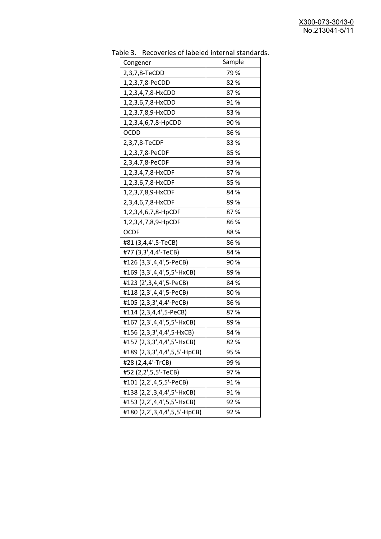| uwic J.<br><u>RECOVERTS OF RIBEICA INTERNATION STANDAR</u><br>Congener | Sample |
|------------------------------------------------------------------------|--------|
| 2,3,7,8-TeCDD                                                          | 79 %   |
| 1,2,3,7,8-PeCDD                                                        | 82%    |
| 1,2,3,4,7,8-HxCDD                                                      | 87%    |
| 1,2,3,6,7,8-HxCDD                                                      | 91%    |
| 1,2,3,7,8,9-HxCDD                                                      | 83%    |
| 1,2,3,4,6,7,8-HpCDD                                                    | 90%    |
| <b>OCDD</b>                                                            | 86%    |
| 2,3,7,8-TeCDF                                                          | 83%    |
| 1,2,3,7,8-PeCDF                                                        | 85%    |
| 2,3,4,7,8-PeCDF                                                        | 93%    |
| 1,2,3,4,7,8-HxCDF                                                      | 87%    |
| 1,2,3,6,7,8-HxCDF                                                      | 85%    |
| 1,2,3,7,8,9-HxCDF                                                      | 84 %   |
| 2,3,4,6,7,8-HxCDF                                                      | 89%    |
| 1,2,3,4,6,7,8-HpCDF                                                    | 87%    |
| 1,2,3,4,7,8,9-HpCDF                                                    | 86%    |
| <b>OCDF</b>                                                            | 88%    |
| #81 (3,4,4',5-TeCB)                                                    | 86%    |
| #77 (3,3',4,4'-TeCB)                                                   | 84 %   |
| #126 (3,3',4,4',5-PeCB)                                                | 90%    |
| #169 (3,3',4,4',5,5'-HxCB)                                             | 89%    |
| #123 (2',3,4,4',5-PeCB)                                                | 84 %   |
| #118 (2,3',4,4',5-PeCB)                                                | 80%    |
| #105 (2,3,3',4,4'-PeCB)                                                | 86 %   |
| #114 (2,3,4,4',5-PeCB)                                                 | 87%    |
| #167 (2,3',4,4',5,5'-HxCB)                                             | 89%    |
| #156 (2,3,3',4,4',5-HxCB)                                              | 84 %   |
| #157 (2,3,3',4,4',5'-HxCB)                                             | 82%    |
| #189 (2,3,3',4,4',5,5'-HpCB)                                           | 95 %   |
| #28 (2,4,4'-TrCB)                                                      | 99 %   |
| #52 (2,2',5,5'-TeCB)                                                   | 97%    |
| #101 (2,2',4,5,5'-PeCB)                                                | 91%    |
| #138 (2,2',3,4,4',5'-HxCB)                                             | 91%    |
| #153 (2,2',4,4',5,5'-HxCB)                                             | 92%    |
| #180 (2,2',3,4,4',5,5'-HpCB)                                           | 92%    |

Table 3. Recoveries of labeled internal standards.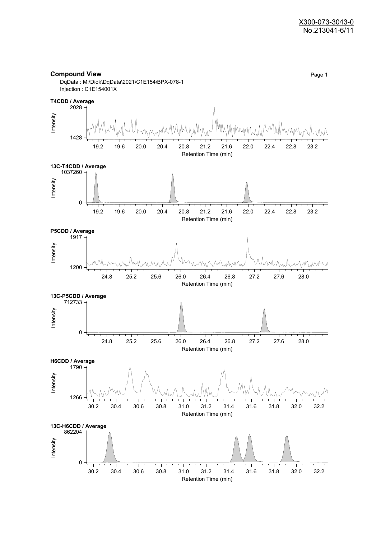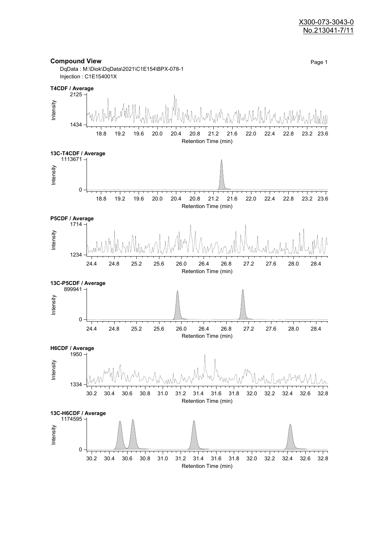#### X300-073-3043-0 No.213041-7/11

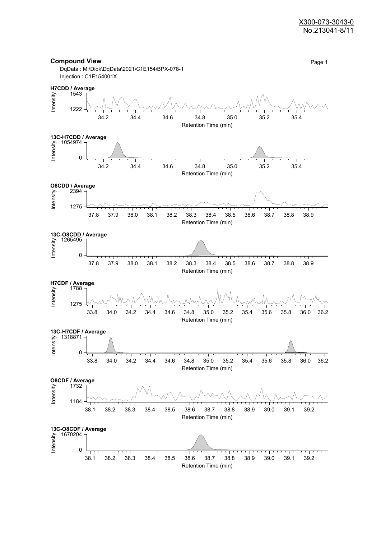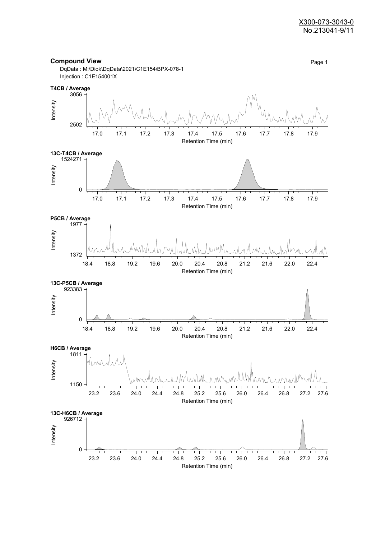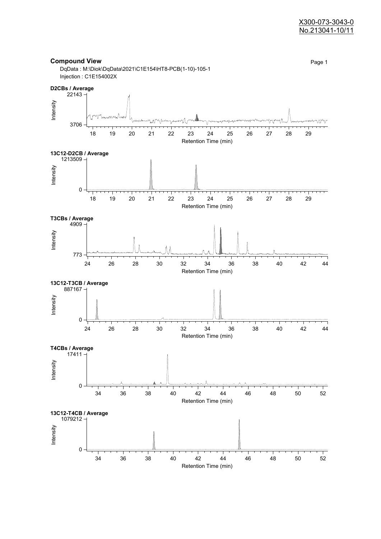